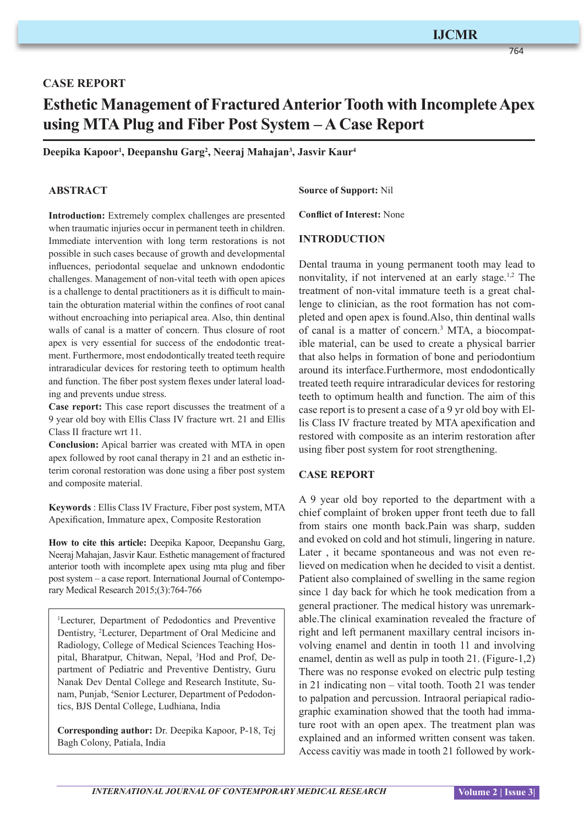# **IJCMR**

764

# **CASE REPORT Esthetic Management of Fractured Anterior Tooth with Incomplete Apex using MTA Plug and Fiber Post System – A Case Report**

**Deepika Kapoor1 , Deepanshu Garg2 , Neeraj Mahajan3 , Jasvir Kaur4**

## **ABSTRACT**

**Introduction:** Extremely complex challenges are presented when traumatic injuries occur in permanent teeth in children. Immediate intervention with long term restorations is not possible in such cases because of growth and developmental influences, periodontal sequelae and unknown endodontic challenges. Management of non-vital teeth with open apices is a challenge to dental practitioners as it is difficult to maintain the obturation material within the confines of root canal without encroaching into periapical area. Also, thin dentinal walls of canal is a matter of concern. Thus closure of root apex is very essential for success of the endodontic treatment. Furthermore, most endodontically treated teeth require intraradicular devices for restoring teeth to optimum health and function. The fiber post system flexes under lateral loading and prevents undue stress.

**Case report:** This case report discusses the treatment of a 9 year old boy with Ellis Class IV fracture wrt. 21 and Ellis Class II fracture wrt 11.

**Conclusion:** Apical barrier was created with MTA in open apex followed by root canal therapy in 21 and an esthetic interim coronal restoration was done using a fiber post system and composite material.

**Keywords** : Ellis Class IV Fracture, Fiber post system, MTA Apexification, Immature apex, Composite Restoration

**How to cite this article:** Deepika Kapoor, Deepanshu Garg, Neeraj Mahajan, Jasvir Kaur. Esthetic management of fractured anterior tooth with incomplete apex using mta plug and fiber post system – a case report. International Journal of Contemporary Medical Research 2015;(3):764-766

1 Lecturer, Department of Pedodontics and Preventive Dentistry, <sup>2</sup> Lecturer, Department of Oral Medicine and Radiology, College of Medical Sciences Teaching Hospital, Bharatpur, Chitwan, Nepal, 3 Hod and Prof, Department of Pediatric and Preventive Dentistry, Guru Nanak Dev Dental College and Research Institute, Sunam, Punjab, 4 Senior Lecturer, Department of Pedodontics, BJS Dental College, Ludhiana, India

**Corresponding author:** Dr. Deepika Kapoor, P-18, Tej Bagh Colony, Patiala, India

## **Source of Support:** Nil

**Conflict of Interest:** None

#### **INTRODUCTION**

Dental trauma in young permanent tooth may lead to nonvitality, if not intervened at an early stage.<sup>1,2</sup> The treatment of non-vital immature teeth is a great challenge to clinician, as the root formation has not completed and open apex is found.Also, thin dentinal walls of canal is a matter of concern.<sup>3</sup> MTA, a biocompatible material, can be used to create a physical barrier that also helps in formation of bone and periodontium around its interface.Furthermore, most endodontically treated teeth require intraradicular devices for restoring teeth to optimum health and function. The aim of this case report is to present a case of a 9 yr old boy with Ellis Class IV fracture treated by MTA apexification and restored with composite as an interim restoration after using fiber post system for root strengthening.

#### **CASE REPORT**

A 9 year old boy reported to the department with a chief complaint of broken upper front teeth due to fall from stairs one month back.Pain was sharp, sudden and evoked on cold and hot stimuli, lingering in nature. Later , it became spontaneous and was not even relieved on medication when he decided to visit a dentist. Patient also complained of swelling in the same region since 1 day back for which he took medication from a general practioner. The medical history was unremarkable.The clinical examination revealed the fracture of right and left permanent maxillary central incisors involving enamel and dentin in tooth 11 and involving enamel, dentin as well as pulp in tooth 21. (Figure-1,2) There was no response evoked on electric pulp testing in 21 indicating non – vital tooth. Tooth 21 was tender to palpation and percussion. Intraoral periapical radiographic examination showed that the tooth had immature root with an open apex. The treatment plan was explained and an informed written consent was taken. Access cavitiy was made in tooth 21 followed by work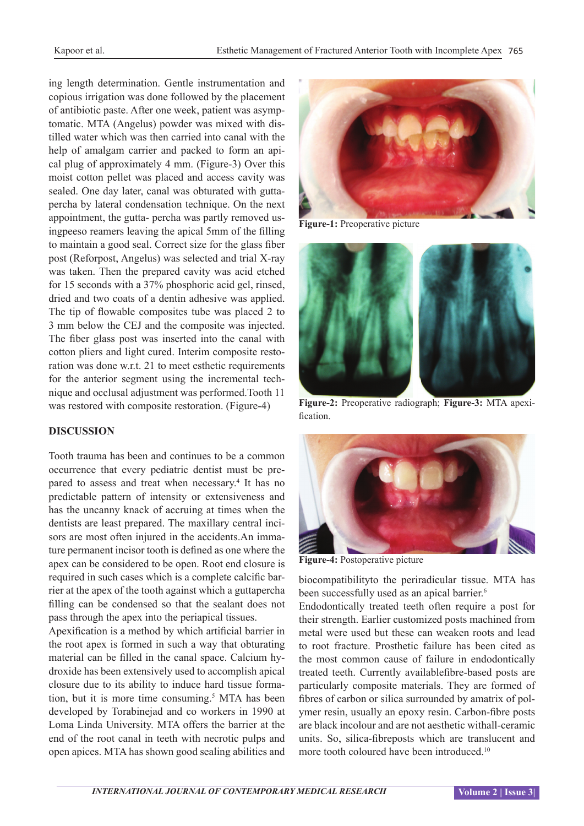ing length determination. Gentle instrumentation and copious irrigation was done followed by the placement of antibiotic paste. After one week, patient was asymptomatic. MTA (Angelus) powder was mixed with distilled water which was then carried into canal with the help of amalgam carrier and packed to form an apical plug of approximately 4 mm. (Figure-3) Over this moist cotton pellet was placed and access cavity was sealed. One day later, canal was obturated with guttapercha by lateral condensation technique. On the next appointment, the gutta- percha was partly removed usingpeeso reamers leaving the apical 5mm of the filling to maintain a good seal. Correct size for the glass fiber post (Reforpost, Angelus) was selected and trial X-ray was taken. Then the prepared cavity was acid etched for 15 seconds with a 37% phosphoric acid gel, rinsed, dried and two coats of a dentin adhesive was applied. The tip of flowable composites tube was placed 2 to 3 mm below the CEJ and the composite was injected. The fiber glass post was inserted into the canal with cotton pliers and light cured. Interim composite restoration was done w.r.t. 21 to meet esthetic requirements for the anterior segment using the incremental technique and occlusal adjustment was performed.Tooth 11 was restored with composite restoration. (Figure-4)

## **DISCUSSION**

Tooth trauma has been and continues to be a common occurrence that every pediatric dentist must be prepared to assess and treat when necessary.<sup>4</sup> It has no predictable pattern of intensity or extensiveness and has the uncanny knack of accruing at times when the dentists are least prepared. The maxillary central incisors are most often injured in the accidents.An immature permanent incisor tooth is defined as one where the apex can be considered to be open. Root end closure is required in such cases which is a complete calcific barrier at the apex of the tooth against which a guttapercha filling can be condensed so that the sealant does not pass through the apex into the periapical tissues.

Apexification is a method by which artificial barrier in the root apex is formed in such a way that obturating material can be filled in the canal space. Calcium hydroxide has been extensively used to accomplish apical closure due to its ability to induce hard tissue formation, but it is more time consuming.<sup>5</sup> MTA has been developed by Torabinejad and co workers in 1990 at Loma Linda University. MTA offers the barrier at the end of the root canal in teeth with necrotic pulps and open apices. MTA has shown good sealing abilities and



**Figure-1:** Preoperative picture



**Figure-2:** Preoperative radiograph; **Figure-3:** MTA apexification.



**Figure-4:** Postoperative picture

biocompatibilityto the periradicular tissue. MTA has been successfully used as an apical barrier.<sup>6</sup>

Endodontically treated teeth often require a post for their strength. Earlier customized posts machined from metal were used but these can weaken roots and lead to root fracture. Prosthetic failure has been cited as the most common cause of failure in endodontically treated teeth. Currently availablefibre-based posts are particularly composite materials. They are formed of fibres of carbon or silica surrounded by amatrix of polymer resin, usually an epoxy resin. Carbon-fibre posts are black incolour and are not aesthetic withall-ceramic units. So, silica-fibreposts which are translucent and more tooth coloured have been introduced.<sup>10</sup>